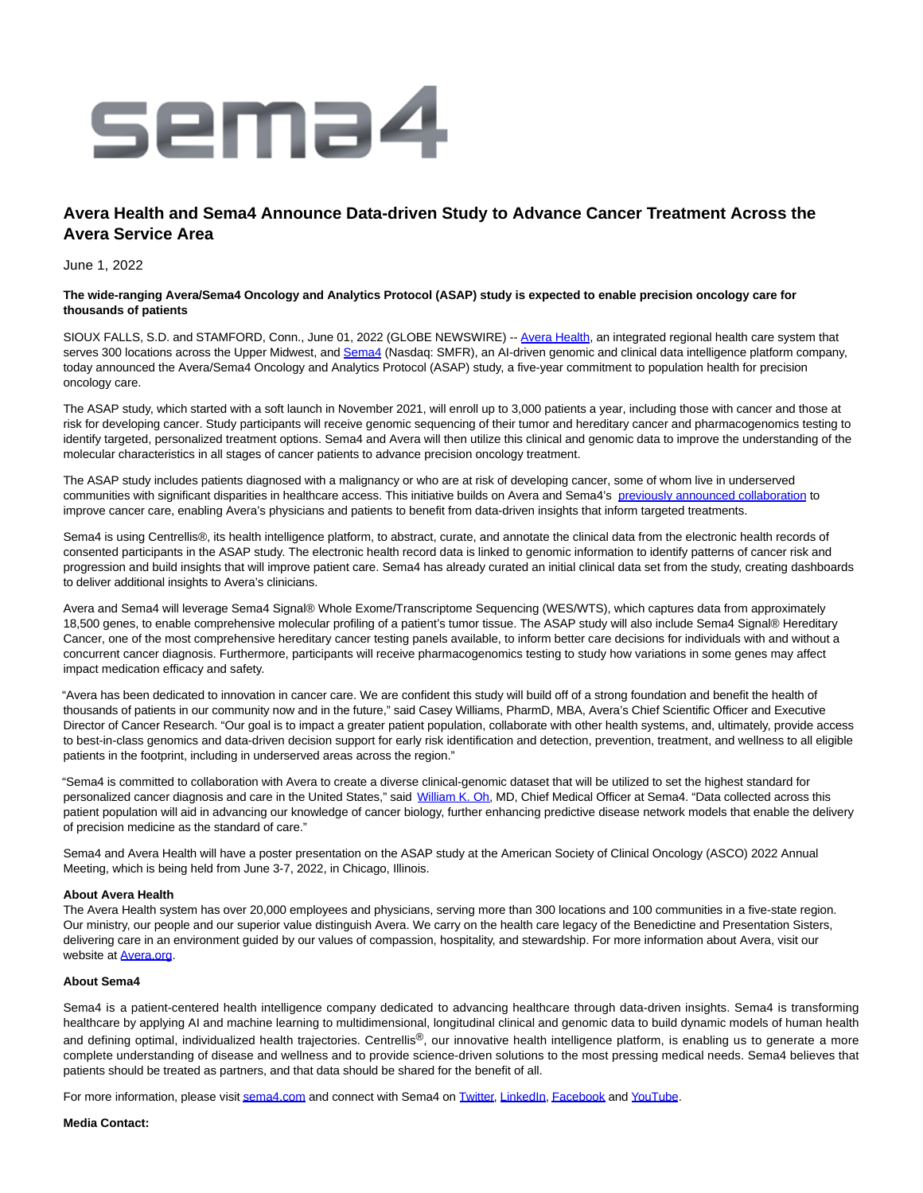

# **Avera Health and Sema4 Announce Data-driven Study to Advance Cancer Treatment Across the Avera Service Area**

June 1, 2022

## **The wide-ranging Avera/Sema4 Oncology and Analytics Protocol (ASAP) study is expected to enable precision oncology care for thousands of patients**

SIOUX FALLS, S.D. and STAMFORD, Conn., June 01, 2022 (GLOBE NEWSWIRE) -- [Avera Health,](https://www.globenewswire.com/Tracker?data=EWddTx8Iaz8CMpmKjzxaZBY9XjWSRB1FuCHgoYS_5U9-fNZcIxriXE6_Mvxno1RHmsrtzbzGM8HONfPat4v9qg==) an integrated regional health care system that serves 300 locations across the Upper Midwest, and [Sema4 \(](https://www.globenewswire.com/Tracker?data=JT5tn9-zZU89gYK1rfPp5N5cxXDgAbXcWaoeTiMNaKq7-1QF7dt4wEy9MZfrrqmx)Nasdaq: SMFR), an AI-driven genomic and clinical data intelligence platform company, today announced the Avera/Sema4 Oncology and Analytics Protocol (ASAP) study, a five-year commitment to population health for precision oncology care.

The ASAP study, which started with a soft launch in November 2021, will enroll up to 3,000 patients a year, including those with cancer and those at risk for developing cancer. Study participants will receive genomic sequencing of their tumor and hereditary cancer and pharmacogenomics testing to identify targeted, personalized treatment options. Sema4 and Avera will then utilize this clinical and genomic data to improve the understanding of the molecular characteristics in all stages of cancer patients to advance precision oncology treatment.

The ASAP study includes patients diagnosed with a malignancy or who are at risk of developing cancer, some of whom live in underserved communities with significant disparities in healthcare access. This initiative builds on Avera and Sema4's [previously announced collaboration t](https://www.globenewswire.com/Tracker?data=Zqh-OZefKmzwh9Mw5gKZ-NdEn9NYXJiWxTy7_TsHqit13v0tkQpSB4cJfUXpDQyCrpW1fPc7eAGYviCh0l4vFMtsVWU2mLMG7ow6aX-Ilet0Q71fwb0ZHCrYgm-zZoPmIrA2XFfqTG6SD0DI4N5cYnXBMf6xlAABIZA4_iNa3XPocxboXPSkj4c3EbeXPBoXpH3-wGNHg4u9zlrpOG-AQAjTUil_vZEDKzVE5Xawix4=)o improve cancer care, enabling Avera's physicians and patients to benefit from data-driven insights that inform targeted treatments.

Sema4 is using Centrellis®, its health intelligence platform, to abstract, curate, and annotate the clinical data from the electronic health records of consented participants in the ASAP study. The electronic health record data is linked to genomic information to identify patterns of cancer risk and progression and build insights that will improve patient care. Sema4 has already curated an initial clinical data set from the study, creating dashboards to deliver additional insights to Avera's clinicians.

Avera and Sema4 will leverage Sema4 Signal® Whole Exome/Transcriptome Sequencing (WES/WTS), which captures data from approximately 18,500 genes, to enable comprehensive molecular profiling of a patient's tumor tissue. The ASAP study will also include Sema4 Signal® Hereditary Cancer, one of the most comprehensive hereditary cancer testing panels available, to inform better care decisions for individuals with and without a concurrent cancer diagnosis. Furthermore, participants will receive pharmacogenomics testing to study how variations in some genes may affect impact medication efficacy and safety.

"Avera has been dedicated to innovation in cancer care. We are confident this study will build off of a strong foundation and benefit the health of thousands of patients in our community now and in the future," said Casey Williams, PharmD, MBA, Avera's Chief Scientific Officer and Executive Director of Cancer Research. "Our goal is to impact a greater patient population, collaborate with other health systems, and, ultimately, provide access to best-in-class genomics and data-driven decision support for early risk identification and detection, prevention, treatment, and wellness to all eligible patients in the footprint, including in underserved areas across the region."

"Sema4 is committed to collaboration with Avera to create a diverse clinical-genomic dataset that will be utilized to set the highest standard for personalized cancer diagnosis and care in the United States," said [William K. Oh,](https://www.globenewswire.com/Tracker?data=xZGSCYJ2Fzx4PDn4DFNLeGn_FZHjeS98ojJIDEms66X7ogSRKdGOkNT0TD65Nu47M1_InlPZeuW9AzXNwYRke32g-g4Kd-y3vgedbrZrHPXfPOUCWddZkDc-XXDeX9JG) MD, Chief Medical Officer at Sema4. "Data collected across this patient population will aid in advancing our knowledge of cancer biology, further enhancing predictive disease network models that enable the delivery of precision medicine as the standard of care."

Sema4 and Avera Health will have a poster presentation on the ASAP study at the American Society of Clinical Oncology (ASCO) 2022 Annual Meeting, which is being held from June 3-7, 2022, in Chicago, Illinois.

#### **About Avera Health**

The Avera Health system has over 20,000 employees and physicians, serving more than 300 locations and 100 communities in a five-state region. Our ministry, our people and our superior value distinguish Avera. We carry on the health care legacy of the Benedictine and Presentation Sisters, delivering care in an environment guided by our values of compassion, hospitality, and stewardship. For more information about Avera, visit our website at [Avera.org.](https://www.globenewswire.com/Tracker?data=tISs440Kj6LiWzrVclFcocg5F85WgbuUvA7GP4l4uGtz-Z-Xm2kNpayJnyPCGsRhg77Wtwr5R0KBLicHyoRpSg==)

#### **About Sema4**

Sema4 is a patient-centered health intelligence company dedicated to advancing healthcare through data-driven insights. Sema4 is transforming healthcare by applying AI and machine learning to multidimensional, longitudinal clinical and genomic data to build dynamic models of human health and defining optimal, individualized health trajectories. Centrellis®, our innovative health intelligence platform, is enabling us to generate a more complete understanding of disease and wellness and to provide science-driven solutions to the most pressing medical needs. Sema4 believes that patients should be treated as partners, and that data should be shared for the benefit of all.

For more information, please visi[t sema4.com a](https://www.globenewswire.com/Tracker?data=mfdUxZzsL5iRg2gZ8axGTd-2TVTBsRBoGZrRM9AWRT233OE2N_oKVSo3LQlEUi_OxzOok0xqPeoSoMTxadTq7w==)nd connect with Sema4 on [Twitter,](https://www.globenewswire.com/Tracker?data=IpzCONZodFFw3T4vTbaKYVvZi3Z14pjRAVrEnubxZ-aOifyOVa0gf9UGoTa2Pf7OeZzIcArfhBEl5MyQ5GYang==) [LinkedIn,](https://www.globenewswire.com/Tracker?data=5umTtxCyidoLIMkVetLFdq5BpTyLIGYCqcAsUMnkwA8uDpgTN1SApa7yJCKZQnJNulGWV11v2-Gq1eKShWtR5l9wpXVziTr2DTck4t5NUMg=) [Facebook a](https://www.globenewswire.com/Tracker?data=FaXPOujQBtUH1uHNOUnTXyhCcFbN14EC8tb8I0c_UkGRp0kt91V5TMy6Vh-NHNtoDcI2gzbSoEPxmXfwqbafPQ==)nd [YouTube.](https://www.globenewswire.com/Tracker?data=eSm34siMSQXVQ_VxPIHEcXbdCAetDHsKc7RI_irfyZbr9-K-b7quDDKZOv7CUxuH5zEZvudYXArN9vvDuznkGwRiJcdhvtArRhkhW4BGqHREM5mozIUd9GccYzDsp5Ox)

### **Media Contact:**